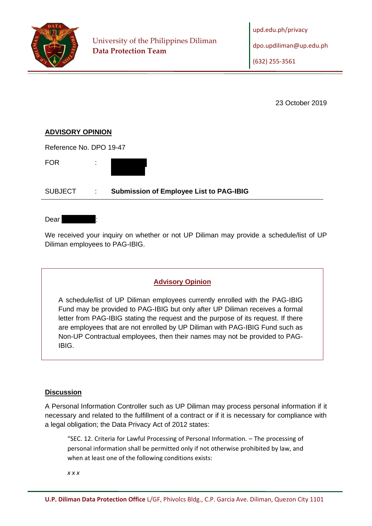

23 October 2019

# **ADVISORY OPINION**

Reference No. DPO 19-47 FOR :

SUBJECT : **Submission of Employee List to PAG-IBIG**

Dear I

We received your inquiry on whether or not UP Diliman may provide a schedule/list of UP Diliman employees to PAG-IBIG.

# **Advisory Opinion**

A schedule/list of UP Diliman employees currently enrolled with the PAG-IBIG Fund may be provided to PAG-IBIG but only after UP Diliman receives a formal letter from PAG-IBIG stating the request and the purpose of its request. If there are employees that are not enrolled by UP Diliman with PAG-IBIG Fund such as Non-UP Contractual employees, then their names may not be provided to PAG-IBIG.

# **Discussion**

A Personal Information Controller such as UP Diliman may process personal information if it necessary and related to the fulfillment of a contract or if it is necessary for compliance with a legal obligation; the Data Privacy Act of 2012 states:

"SEC. 12. Criteria for Lawful Processing of Personal Information. – The processing of personal information shall be permitted only if not otherwise prohibited by law, and when at least one of the following conditions exists:

*x x x*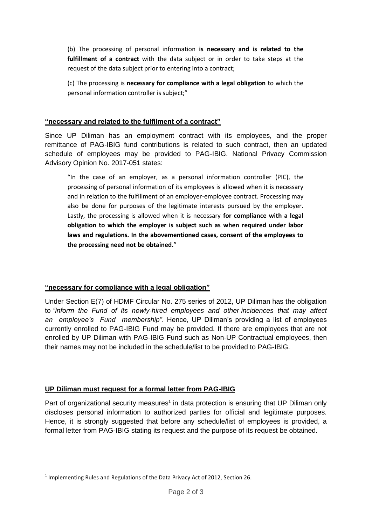(b) The processing of personal information **is necessary and is related to the fulfillment of a contract** with the data subject or in order to take steps at the request of the data subject prior to entering into a contract;

(c) The processing is **necessary for compliance with a legal obligation** to which the personal information controller is subject;"

#### **"necessary and related to the fulfilment of a contract"**

Since UP Diliman has an employment contract with its employees, and the proper remittance of PAG-IBIG fund contributions is related to such contract, then an updated schedule of employees may be provided to PAG-IBIG. National Privacy Commission Advisory Opinion No. 2017-051 states:

"In the case of an employer, as a personal information controller (PIC), the processing of personal information of its employees is allowed when it is necessary and in relation to the fulfillment of an employer-employee contract. Processing may also be done for purposes of the legitimate interests pursued by the employer. Lastly, the processing is allowed when it is necessary **for compliance with a legal obligation to which the employer is subject such as when required under labor laws and regulations. In the abovementioned cases, consent of the employees to the processing need not be obtained.**"

# **"necessary for compliance with a legal obligation"**

Under Section E(7) of HDMF Circular No. 275 series of 2012, UP Diliman has the obligation to *"inform the Fund of its newly-hired employees and other incidences that may affect an employee's Fund membership"*. Hence, UP Diliman's providing a list of employees currently enrolled to PAG-IBIG Fund may be provided. If there are employees that are not enrolled by UP Diliman with PAG-IBIG Fund such as Non-UP Contractual employees, then their names may not be included in the schedule/list to be provided to PAG-IBIG.

# **UP Diliman must request for a formal letter from PAG-IBIG**

Part of organizational security measures<sup>1</sup> in data protection is ensuring that UP Diliman only discloses personal information to authorized parties for official and legitimate purposes. Hence, it is strongly suggested that before any schedule/list of employees is provided, a formal letter from PAG-IBIG stating its request and the purpose of its request be obtained.

<sup>&</sup>lt;sup>1</sup> Implementing Rules and Regulations of the Data Privacy Act of 2012, Section 26.